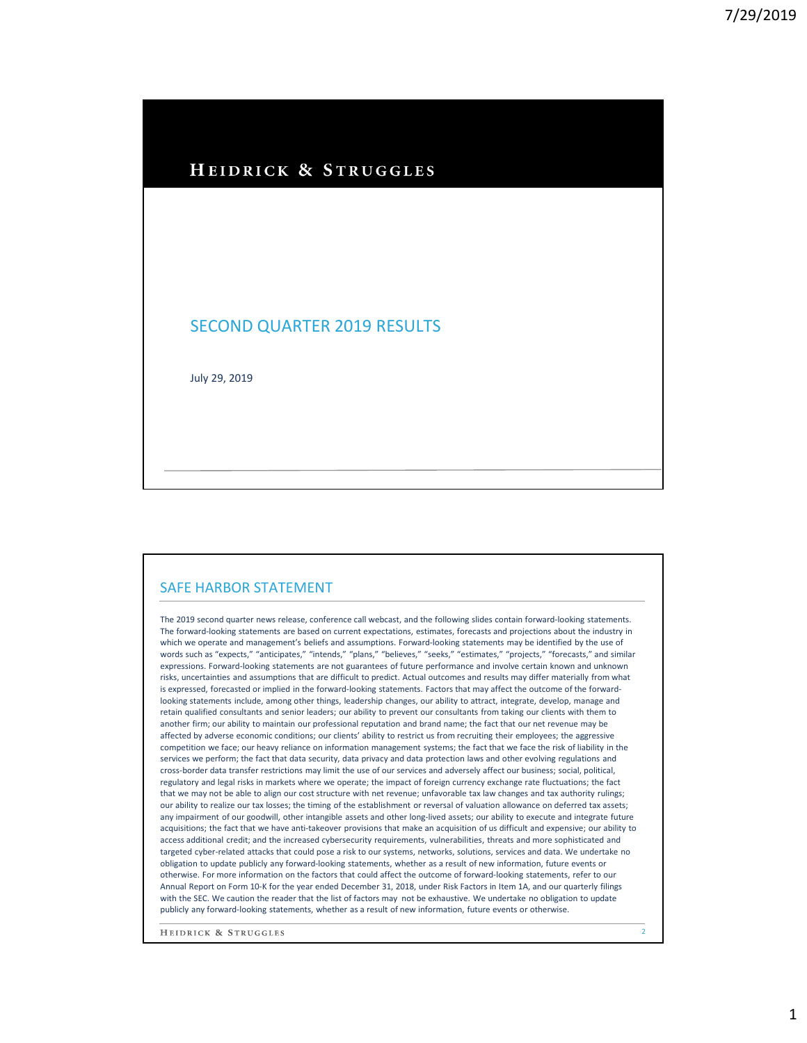### HEIDRICK & STRUGGLES

### SECOND QUARTER 2019 RESULTS

July 29, 2019

#### SAFE HARBOR STATEMENT

The 2019 second quarter news release, conference call webcast, and the following slides contain forward-looking statements. The forward-looking statements are based on current expectations, estimates, forecasts and projections about the industry in which we operate and management's beliefs and assumptions. Forward-looking statements may be identified by the use of words such as "expects," "anticipates," "intends," "plans," "believes," "seeks," "estimates," "projects," "forecasts," and similar expressions. Forward-looking statements are not guarantees of future performance and involve certain known and unknown risks, uncertainties and assumptions that are difficult to predict. Actual outcomes and results may differ materially from what is expressed, forecasted or implied in the forward-looking statements. Factors that may affect the outcome of the forwardlooking statements include, among other things, leadership changes, our ability to attract, integrate, develop, manage and retain qualified consultants and senior leaders; our ability to prevent our consultants from taking our clients with them to another firm; our ability to maintain our professional reputation and brand name; the fact that our net revenue may be affected by adverse economic conditions; our clients' ability to restrict us from recruiting their employees; the aggressive competition we face; our heavy reliance on information management systems; the fact that we face the risk of liability in the services we perform; the fact that data security, data privacy and data protection laws and other evolving regulations and cross-border data transfer restrictions may limit the use of our services and adversely affect our business; social, political, regulatory and legal risks in markets where we operate; the impact of foreign currency exchange rate fluctuations; the fact that we may not be able to align our cost structure with net revenue; unfavorable tax law changes and tax authority rulings; our ability to realize our tax losses; the timing of the establishment or reversal of valuation allowance on deferred tax assets; any impairment of our goodwill, other intangible assets and other long-lived assets; our ability to execute and integrate future acquisitions; the fact that we have anti-takeover provisions that make an acquisition of us difficult and expensive; our ability to access additional credit; and the increased cybersecurity requirements, vulnerabilities, threats and more sophisticated and targeted cyber-related attacks that could pose a risk to our systems, networks, solutions, services and data. We undertake no obligation to update publicly any forward-looking statements, whether as a result of new information, future events or otherwise. For more information on the factors that could affect the outcome of forward-looking statements, refer to our Annual Report on Form 10-K for the year ended December 31, 2018, under Risk Factors in Item 1A, and our quarterly filings with the SEC. We caution the reader that the list of factors may not be exhaustive. We undertake no obligation to update publicly any forward-looking statements, whether as a result of new information, future events or otherwise.

HEIDRICK & STRUGGLES

2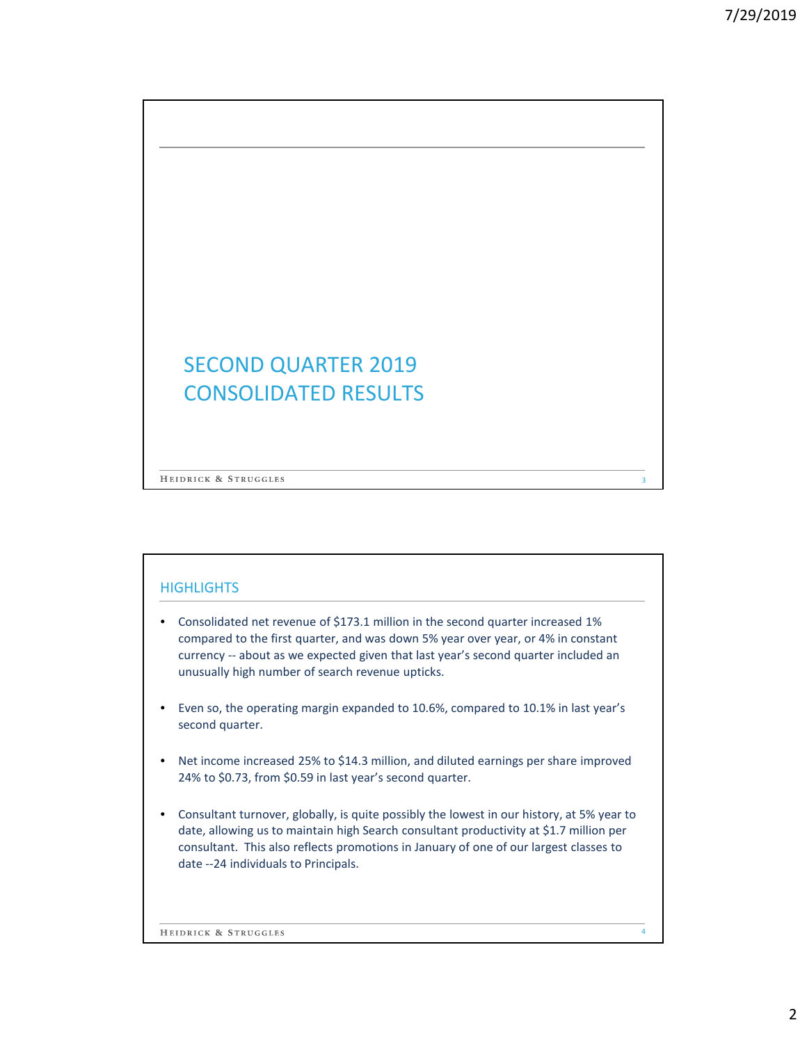# SECOND QUARTER 2019 CONSOLIDATED RESULTS

HEIDRICK & STRUGGLES

### **HIGHLIGHTS**

- Consolidated net revenue of \$173.1 million in the second quarter increased 1% compared to the first quarter, and was down 5% year over year, or 4% in constant currency -- about as we expected given that last year's second quarter included an unusually high number of search revenue upticks.
- Even so, the operating margin expanded to 10.6%, compared to 10.1% in last year's second quarter.
- Net income increased 25% to \$14.3 million, and diluted earnings per share improved 24% to \$0.73, from \$0.59 in last year's second quarter.
- Consultant turnover, globally, is quite possibly the lowest in our history, at 5% year to date, allowing us to maintain high Search consultant productivity at \$1.7 million per consultant. This also reflects promotions in January of one of our largest classes to date --24 individuals to Principals.

HEIDRICK & STRUGGLES

3

4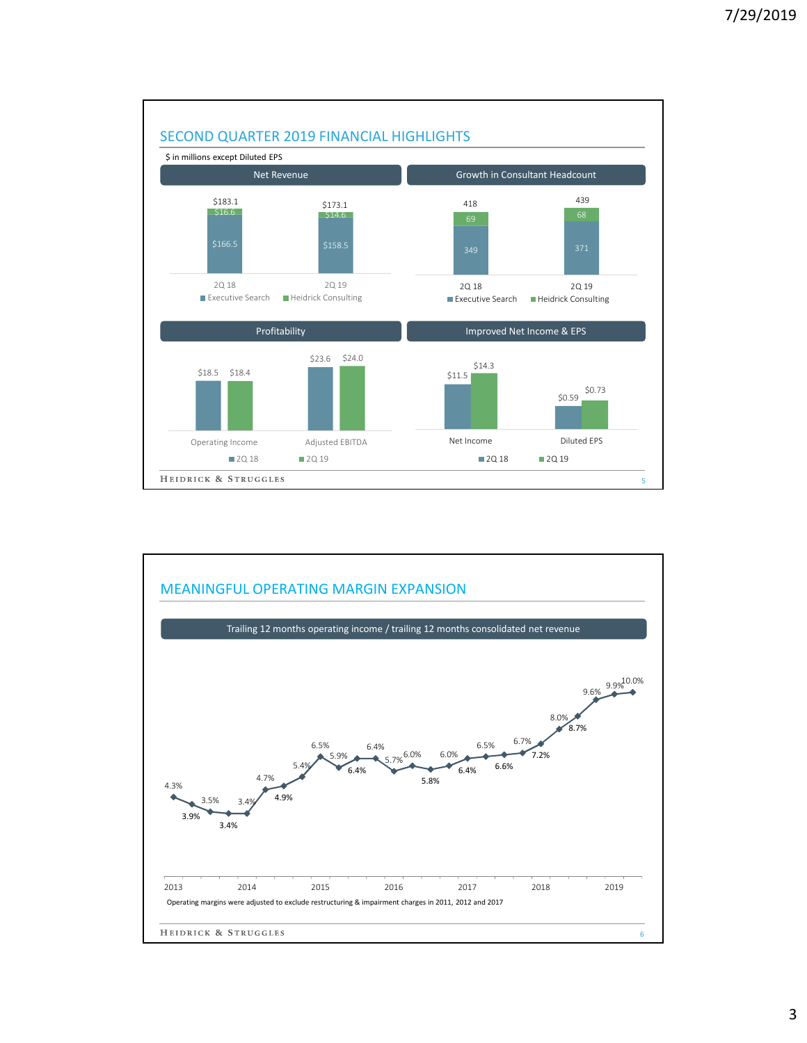

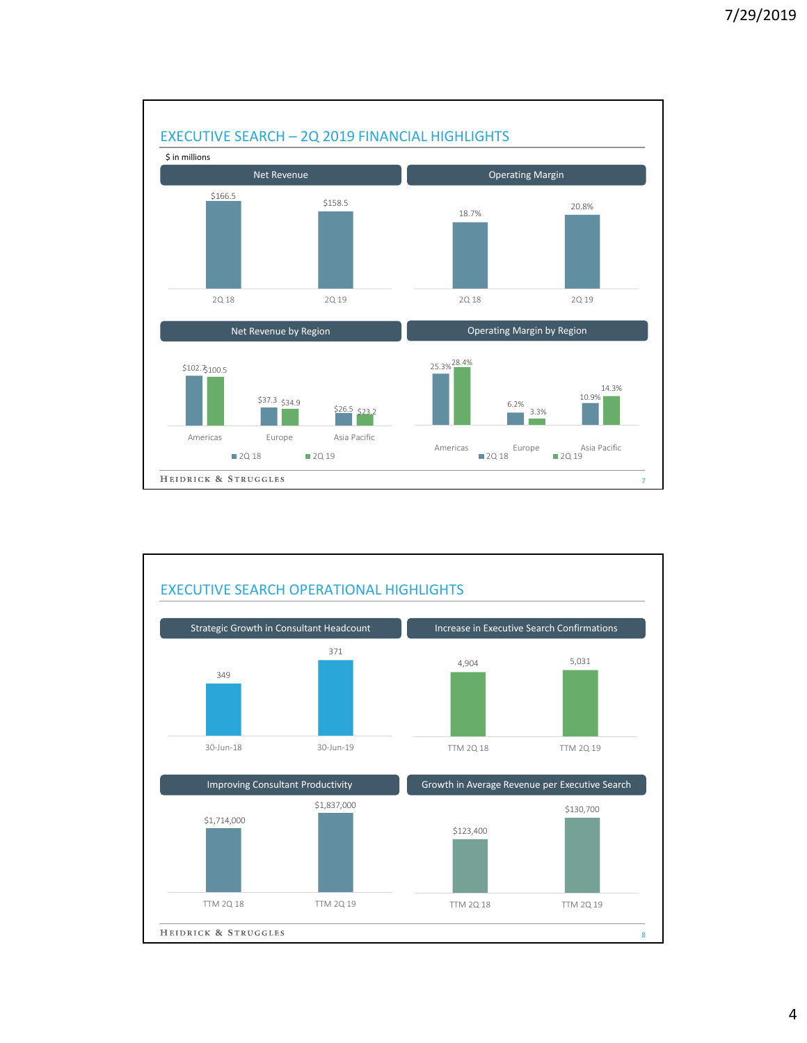

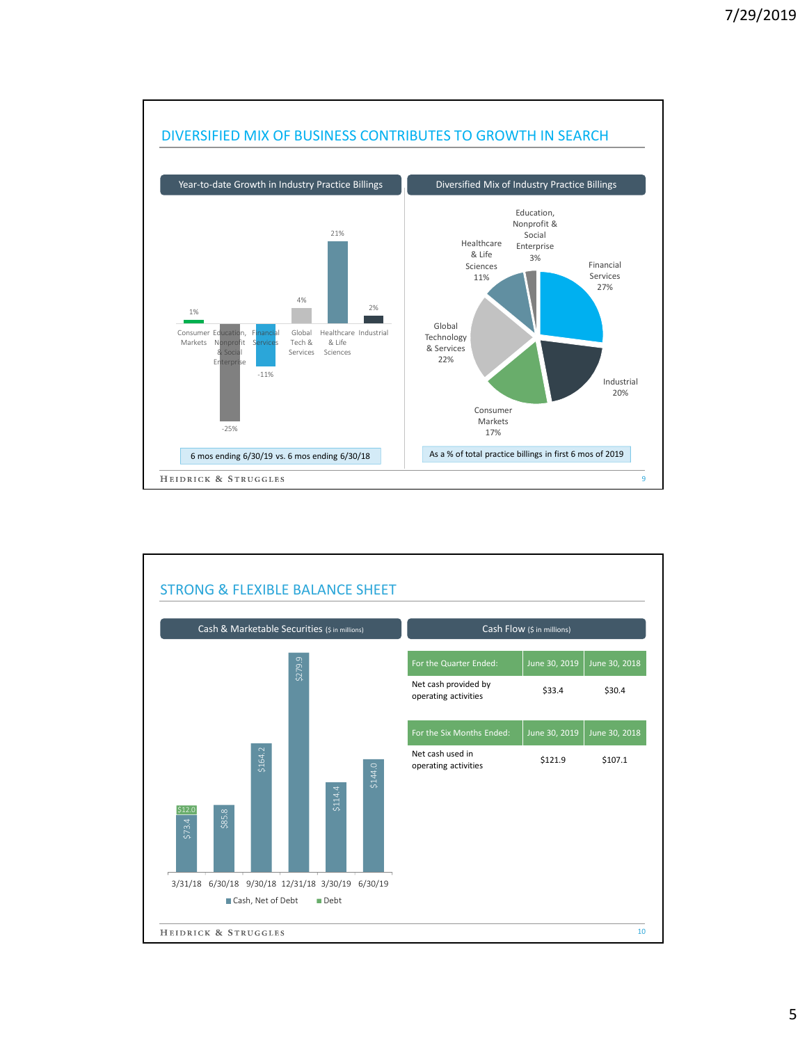

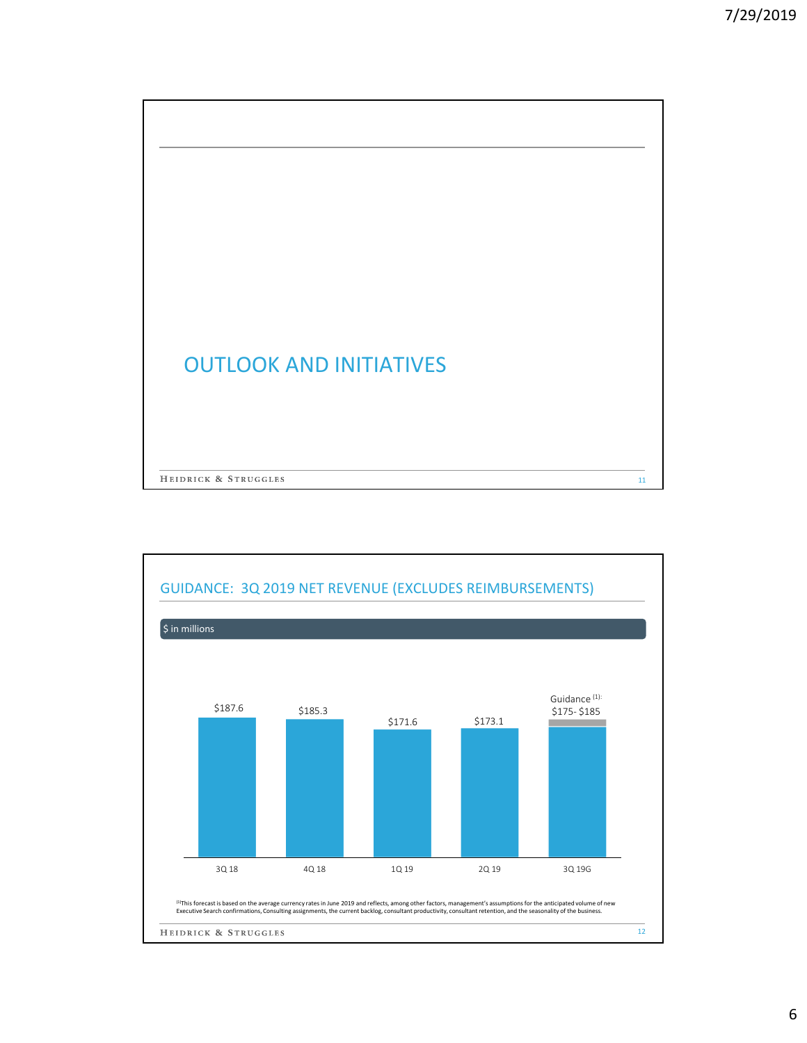

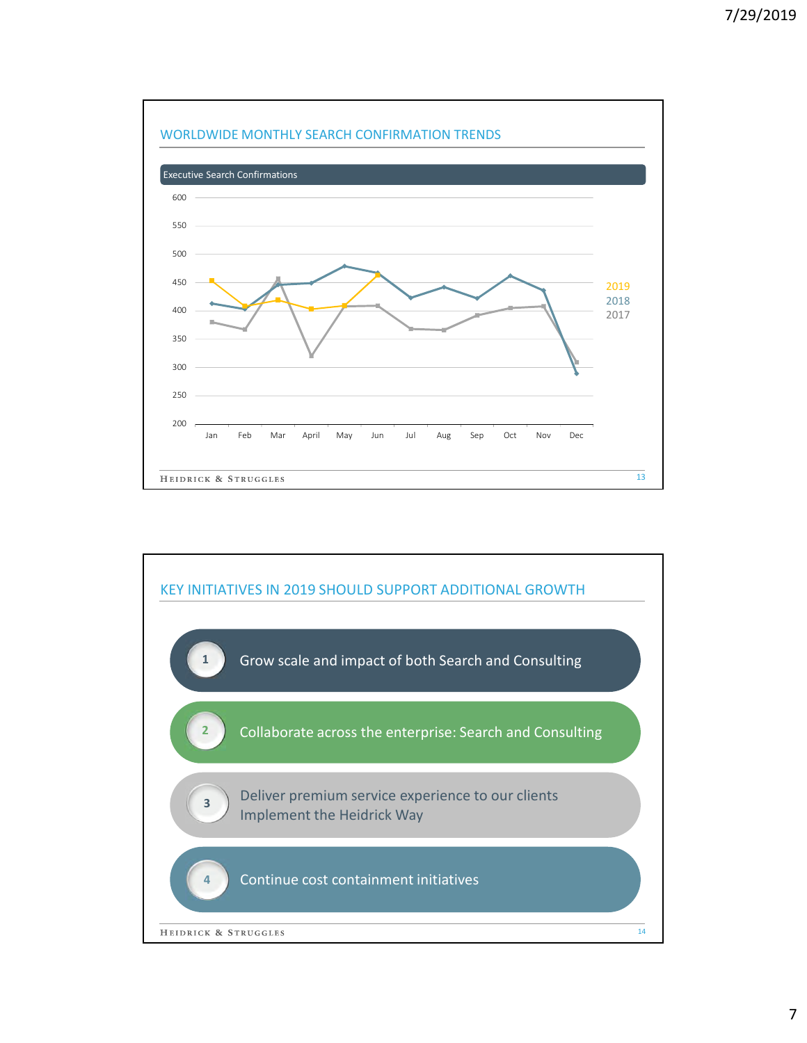

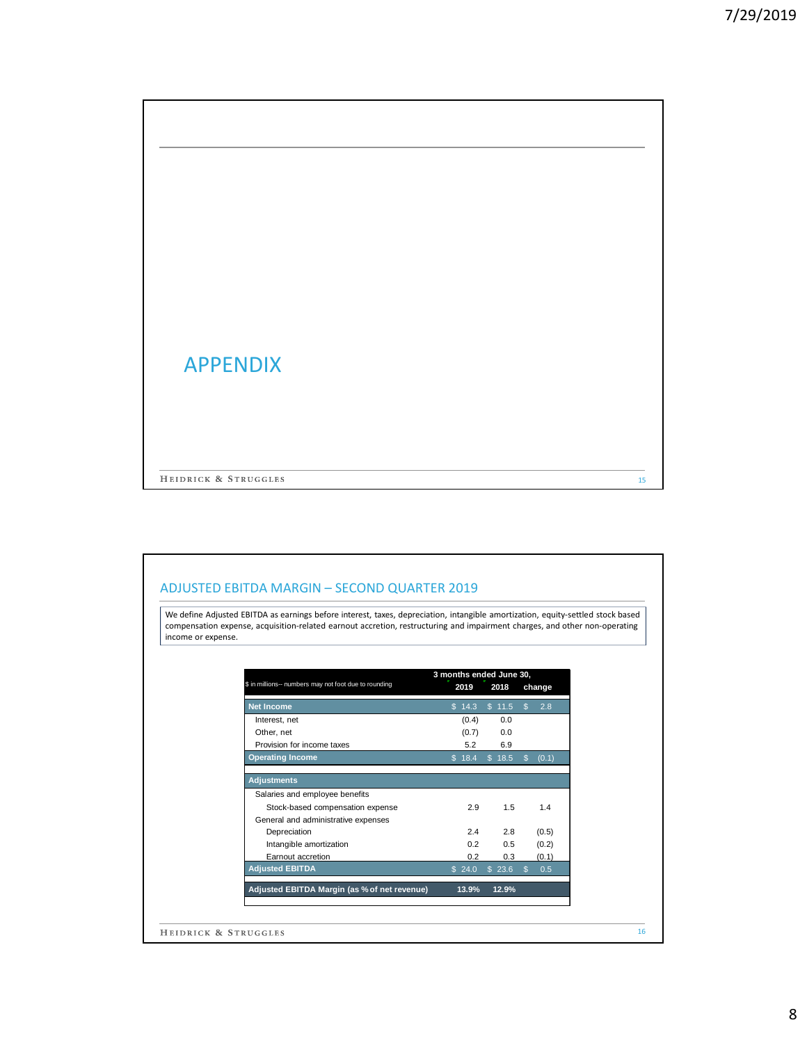| <b>APPENDIX</b>      |    |
|----------------------|----|
|                      |    |
| HEIDRICK & STRUGGLES | 15 |

### ADJUSTED EBITDA MARGIN – SECOND QUARTER 2019

We define Adjusted EBITDA as earnings before interest, taxes, depreciation, intangible amortization, equity-settled stock based compensation expense, acquisition-related earnout accretion, restructuring and impairment charges, and other non-operating income or expense.

| \$ in millions-- numbers may not foot due to rounding | 3 months ended June 30,<br>2019<br>2018 |        | change               |
|-------------------------------------------------------|-----------------------------------------|--------|----------------------|
|                                                       |                                         |        |                      |
| <b>Net Income</b>                                     | \$14.3                                  | \$11.5 | $\mathbb{S}$<br>2.8  |
| Interest, net                                         | (0.4)                                   | 0.0    |                      |
| Other, net                                            | (0.7)                                   | 0.0    |                      |
| Provision for income taxes                            | 5.2                                     | 6.9    |                      |
| <b>Operating Income</b>                               | \$18.4                                  | \$18.5 | (0.1)<br>S.          |
|                                                       |                                         |        |                      |
| <b>Adjustments</b>                                    |                                         |        |                      |
| Salaries and employee benefits                        |                                         |        |                      |
| Stock-based compensation expense                      | 2.9                                     | 1.5    | 1.4                  |
| General and administrative expenses                   |                                         |        |                      |
| Depreciation                                          | 2.4                                     | 2.8    | (0.5)                |
| Intangible amortization                               | 0.2                                     | 0.5    | (0.2)                |
| Earnout accretion                                     | 0.2                                     | 0.3    | (0.1)                |
| <b>Adjusted EBITDA</b>                                | \$24.0                                  | \$23.6 | 0.5<br>$\mathbf{\$}$ |
| Adjusted EBITDA Margin (as % of net revenue)          | 13.9%                                   | 12.9%  |                      |
|                                                       |                                         |        |                      |
|                                                       |                                         |        |                      |
| HEIDRICK & STRUGGLES                                  |                                         |        |                      |